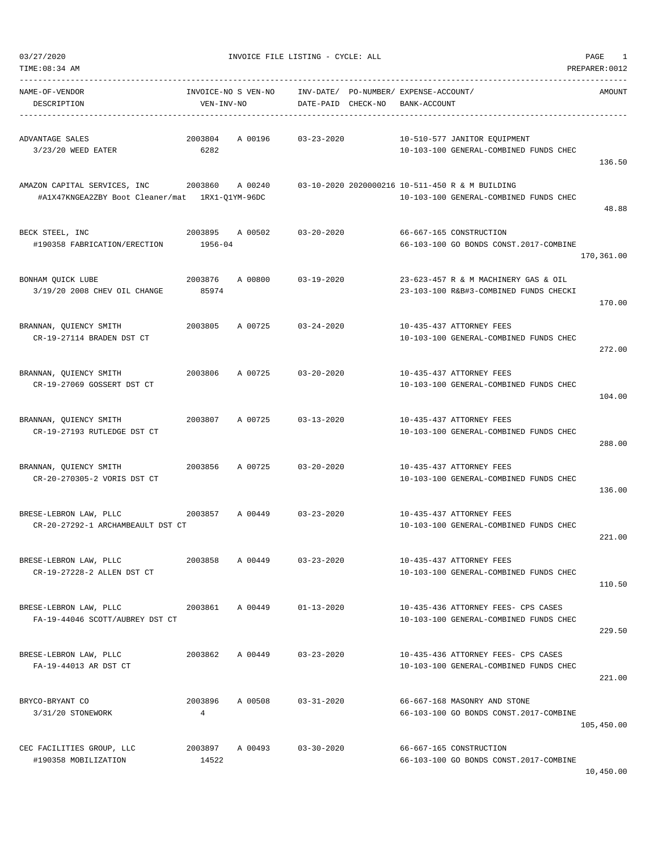|  | 03/27/2020 |
|--|------------|
|  |            |

TIME:08:34 AM PREPARER:0012

| NAME-OF-VENDOR                                                                         |                | INVOICE-NO S VEN-NO    INV-DATE/ PO-NUMBER/ EXPENSE-ACCOUNT/ |                    |              |                                                                    | AMOUNT     |
|----------------------------------------------------------------------------------------|----------------|--------------------------------------------------------------|--------------------|--------------|--------------------------------------------------------------------|------------|
| DESCRIPTION                                                                            | VEN-INV-NO     |                                                              | DATE-PAID CHECK-NO | BANK-ACCOUNT |                                                                    |            |
|                                                                                        |                |                                                              |                    |              |                                                                    |            |
| ADVANTAGE SALES                                                                        | 2003804        | A 00196 03-23-2020                                           |                    |              | 10-510-577 JANITOR EQUIPMENT                                       |            |
| 3/23/20 WEED EATER                                                                     | 6282           |                                                              |                    |              | 10-103-100 GENERAL-COMBINED FUNDS CHEC                             |            |
|                                                                                        |                |                                                              |                    |              |                                                                    | 136.50     |
| AMAZON CAPITAL SERVICES, INC 2003860 A 00240                                           |                |                                                              |                    |              | 03-10-2020 2020000216 10-511-450 R & M BUILDING                    |            |
| #A1X47KNGEA2ZBY Boot Cleaner/mat 1RX1-Q1YM-96DC                                        |                |                                                              |                    |              | 10-103-100 GENERAL-COMBINED FUNDS CHEC                             |            |
|                                                                                        |                |                                                              |                    |              |                                                                    | 48.88      |
| BECK STEEL, INC                                                                        |                |                                                              |                    |              | 66-667-165 CONSTRUCTION                                            |            |
| #190358 FABRICATION/ERECTION                                                           | $1956 - 04$    | 2003895 A 00502 03-20-2020                                   |                    |              | 66-103-100 GO BONDS CONST.2017-COMBINE                             |            |
|                                                                                        |                |                                                              |                    |              |                                                                    | 170,361.00 |
|                                                                                        |                |                                                              |                    |              |                                                                    |            |
| BONHAM QUICK LUBE                                                                      |                | 2003876 A 00800 03-19-2020                                   |                    |              | 23-623-457 R & M MACHINERY GAS & OIL                               |            |
| 3/19/20 2008 CHEV OIL CHANGE 85974                                                     |                |                                                              |                    |              | 23-103-100 R&B#3-COMBINED FUNDS CHECKI                             |            |
|                                                                                        |                |                                                              |                    |              |                                                                    | 170.00     |
|                                                                                        |                |                                                              |                    |              |                                                                    |            |
| BRANNAN, QUIENCY SMITH<br>CR-19-27114 BRADEN DST CT                                    |                | $2003805$ A 00725 03-24-2020                                 |                    |              | 10-435-437 ATTORNEY FEES<br>10-103-100 GENERAL-COMBINED FUNDS CHEC |            |
|                                                                                        |                |                                                              |                    |              |                                                                    | 272.00     |
|                                                                                        |                |                                                              |                    |              |                                                                    |            |
| BRANNAN, QUIENCY SMITH                                                                 |                | 2003806 A 00725 03-20-2020                                   |                    |              | 10-435-437 ATTORNEY FEES                                           |            |
| CR-19-27069 GOSSERT DST CT                                                             |                |                                                              |                    |              | 10-103-100 GENERAL-COMBINED FUNDS CHEC                             |            |
|                                                                                        |                |                                                              |                    |              |                                                                    | 104.00     |
|                                                                                        |                |                                                              |                    |              |                                                                    |            |
| BRANNAN, QUIENCY SMITH<br>CR-19-27193 RUTLEDGE DST CT                                  |                | 2003807 A 00725 03-13-2020                                   |                    |              | 10-435-437 ATTORNEY FEES<br>10-103-100 GENERAL-COMBINED FUNDS CHEC |            |
|                                                                                        |                |                                                              |                    |              |                                                                    | 288.00     |
|                                                                                        |                |                                                              |                    |              |                                                                    |            |
| BRANNAN, QUIENCY SMITH                                                                 |                | 2003856 A 00725 03-20-2020                                   |                    |              | 10-435-437 ATTORNEY FEES                                           |            |
| CR-20-270305-2 VORIS DST CT                                                            |                |                                                              |                    |              | 10-103-100 GENERAL-COMBINED FUNDS CHEC                             |            |
|                                                                                        |                |                                                              |                    |              |                                                                    | 136.00     |
|                                                                                        |                |                                                              |                    |              |                                                                    |            |
| BRESE-LEBRON LAW, PLLC 2003857 A 00449 03-23-2020<br>CR-20-27292-1 ARCHAMBEAULT DST CT |                |                                                              |                    |              | 10-435-437 ATTORNEY FEES<br>10-103-100 GENERAL-COMBINED FUNDS CHEC |            |
|                                                                                        |                |                                                              |                    |              |                                                                    | 221.00     |
|                                                                                        |                |                                                              |                    |              |                                                                    |            |
| BRESE-LEBRON LAW, PLLC                                                                 |                | 2003858 A 00449                                              | $03 - 23 - 2020$   |              | 10-435-437 ATTORNEY FEES                                           |            |
| CR-19-27228-2 ALLEN DST CT                                                             |                |                                                              |                    |              | 10-103-100 GENERAL-COMBINED FUNDS CHEC                             |            |
|                                                                                        |                |                                                              |                    |              |                                                                    | 110.50     |
| BRESE-LEBRON LAW, PLLC                                                                 | 2003861        | A 00449                                                      | $01 - 13 - 2020$   |              | 10-435-436 ATTORNEY FEES- CPS CASES                                |            |
| FA-19-44046 SCOTT/AUBREY DST CT                                                        |                |                                                              |                    |              | 10-103-100 GENERAL-COMBINED FUNDS CHEC                             |            |
|                                                                                        |                |                                                              |                    |              |                                                                    | 229.50     |
|                                                                                        |                |                                                              |                    |              |                                                                    |            |
| BRESE-LEBRON LAW, PLLC                                                                 | 2003862        | A 00449                                                      | $03 - 23 - 2020$   |              | 10-435-436 ATTORNEY FEES- CPS CASES                                |            |
| FA-19-44013 AR DST CT                                                                  |                |                                                              |                    |              | 10-103-100 GENERAL-COMBINED FUNDS CHEC                             |            |
|                                                                                        |                |                                                              |                    |              |                                                                    | 221.00     |
| BRYCO-BRYANT CO                                                                        | 2003896        | A 00508                                                      | $03 - 31 - 2020$   |              | 66-667-168 MASONRY AND STONE                                       |            |
| 3/31/20 STONEWORK                                                                      | $\overline{4}$ |                                                              |                    |              | 66-103-100 GO BONDS CONST.2017-COMBINE                             |            |
|                                                                                        |                |                                                              |                    |              |                                                                    | 105,450.00 |
|                                                                                        |                |                                                              |                    |              |                                                                    |            |
| CEC FACILITIES GROUP, LLC                                                              |                | 2003897 A 00493                                              | $03 - 30 - 2020$   |              | 66-667-165 CONSTRUCTION                                            |            |
| #190358 MOBILIZATION                                                                   | 14522          |                                                              |                    |              | 66-103-100 GO BONDS CONST.2017-COMBINE                             |            |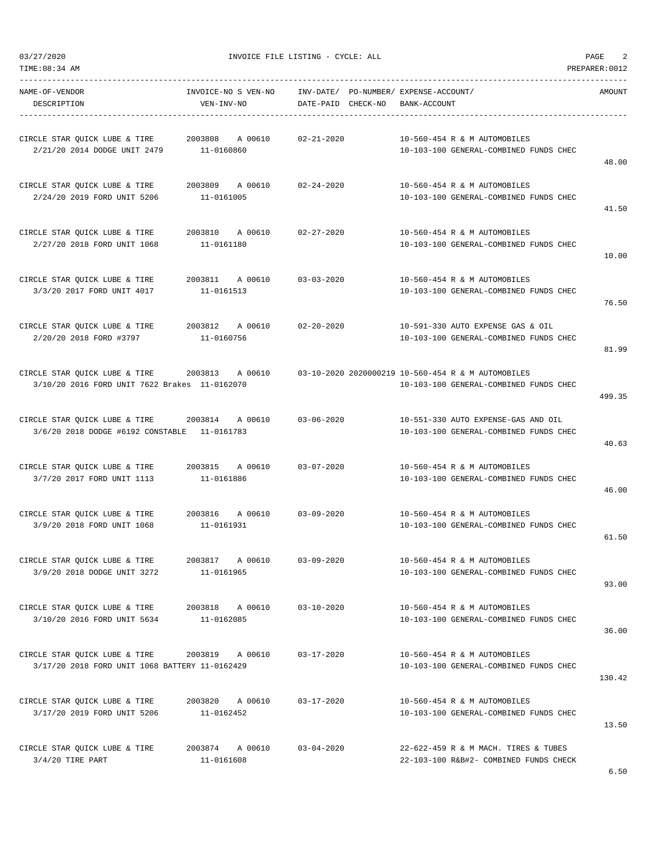03/27/2020 PAGE 2<br>
THE LISTING - CYCLE: ALL PAGE 2<br>
THE LISTING - CYCLE: ALL

TIME:08:34 AM PREPARER:0012

| NAME-OF-VENDOR<br>DESCRIPTION                                                                                                                     | INVOICE-NO S VEN-NO<br>VEN-INV-NO                         | DATE-PAID CHECK-NO BANK-ACCOUNT | INV-DATE/ PO-NUMBER/ EXPENSE-ACCOUNT/                                          | AMOUNT |
|---------------------------------------------------------------------------------------------------------------------------------------------------|-----------------------------------------------------------|---------------------------------|--------------------------------------------------------------------------------|--------|
| CIRCLE STAR QUICK LUBE & TIRE 2003808 A 00610 02-21-2020<br>2/21/20 2014 DODGE UNIT 2479                                                          | 11-0160860                                                |                                 | 10-560-454 R & M AUTOMOBILES<br>10-103-100 GENERAL-COMBINED FUNDS CHEC         | 48.00  |
| CIRCLE STAR QUICK LUBE & TIRE 2003809 A 00610 02-24-2020<br>2/24/20 2019 FORD UNIT 5206                                                           | 11-0161005                                                |                                 | 10-560-454 R & M AUTOMOBILES<br>10-103-100 GENERAL-COMBINED FUNDS CHEC         | 41.50  |
| CIRCLE STAR QUICK LUBE & TIRE 2003810 A 00610 02-27-2020<br>2/27/20 2018 FORD UNIT 1068                                                           | 11-0161180                                                |                                 | 10-560-454 R & M AUTOMOBILES<br>10-103-100 GENERAL-COMBINED FUNDS CHEC         | 10.00  |
| CIRCLE STAR QUICK LUBE & TIRE<br>3/3/20 2017 FORD UNIT 4017                                                                                       | 2003811       A  00610           03-03-2020<br>11-0161513 |                                 | 10-560-454 R & M AUTOMOBILES<br>10-103-100 GENERAL-COMBINED FUNDS CHEC         | 76.50  |
| CIRCLE STAR QUICK LUBE & TIRE 2003812 A 00610 02-20-2020<br>2/20/20 2018 FORD #3797                                                               | 11-0160756                                                |                                 | 10-591-330 AUTO EXPENSE GAS & OIL<br>10-103-100 GENERAL-COMBINED FUNDS CHEC    | 81.99  |
| CIRCLE STAR QUICK LUBE & TIRE 2003813 A 00610 03-10-2020 2020000219 10-560-454 R & M AUTOMOBILES<br>3/10/20 2016 FORD UNIT 7622 Brakes 11-0162070 |                                                           |                                 | 10-103-100 GENERAL-COMBINED FUNDS CHEC                                         | 499.35 |
| CIRCLE STAR QUICK LUBE & TIRE 2003814 A 00610 03-06-2020<br>3/6/20 2018 DODGE #6192 CONSTABLE 11-0161783                                          |                                                           |                                 | 10-551-330 AUTO EXPENSE-GAS AND OIL<br>10-103-100 GENERAL-COMBINED FUNDS CHEC  | 40.63  |
| CIRCLE STAR QUICK LUBE & TIRE<br>3/7/20 2017 FORD UNIT 1113                                                                                       | 2003815 A 00610 03-07-2020<br>11-0161886                  |                                 | 10-560-454 R & M AUTOMOBILES<br>10-103-100 GENERAL-COMBINED FUNDS CHEC         | 46.00  |
| CIRCLE STAR QUICK LUBE & TIRE 2003816 A 00610 03-09-2020<br>3/9/20 2018 FORD UNIT 1068 11-0161931                                                 |                                                           |                                 | 10-560-454 R & M AUTOMOBILES<br>10-103-100 GENERAL-COMBINED FUNDS CHEC         | 61.50  |
| CIRCLE STAR QUICK LUBE & TIRE<br>3/9/20 2018 DODGE UNIT 3272                                                                                      | 2003817<br>A 00610<br>11-0161965                          | $03 - 09 - 2020$                | 10-560-454 R & M AUTOMOBILES<br>10-103-100 GENERAL-COMBINED FUNDS CHEC         | 93.00  |
| CIRCLE STAR QUICK LUBE & TIRE<br>3/10/20 2016 FORD UNIT 5634                                                                                      | 2003818 A 00610<br>11-0162085                             | $03 - 10 - 2020$                | 10-560-454 R & M AUTOMOBILES<br>10-103-100 GENERAL-COMBINED FUNDS CHEC         | 36.00  |
| CIRCLE STAR QUICK LUBE & TIRE<br>3/17/20 2018 FORD UNIT 1068 BATTERY 11-0162429                                                                   | 2003819 A 00610                                           | $03 - 17 - 2020$                | 10-560-454 R & M AUTOMOBILES<br>10-103-100 GENERAL-COMBINED FUNDS CHEC         | 130.42 |
| CIRCLE STAR QUICK LUBE & TIRE<br>3/17/20 2019 FORD UNIT 5206                                                                                      | 2003820 A 00610<br>11-0162452                             | $03 - 17 - 2020$                | 10-560-454 R & M AUTOMOBILES<br>10-103-100 GENERAL-COMBINED FUNDS CHEC         | 13.50  |
| CIRCLE STAR QUICK LUBE & TIRE<br>$3/4/20$ TIRE PART                                                                                               | 2003874 A 00610<br>11-0161608                             | $03 - 04 - 2020$                | 22-622-459 R & M MACH. TIRES & TUBES<br>22-103-100 R&B#2- COMBINED FUNDS CHECK |        |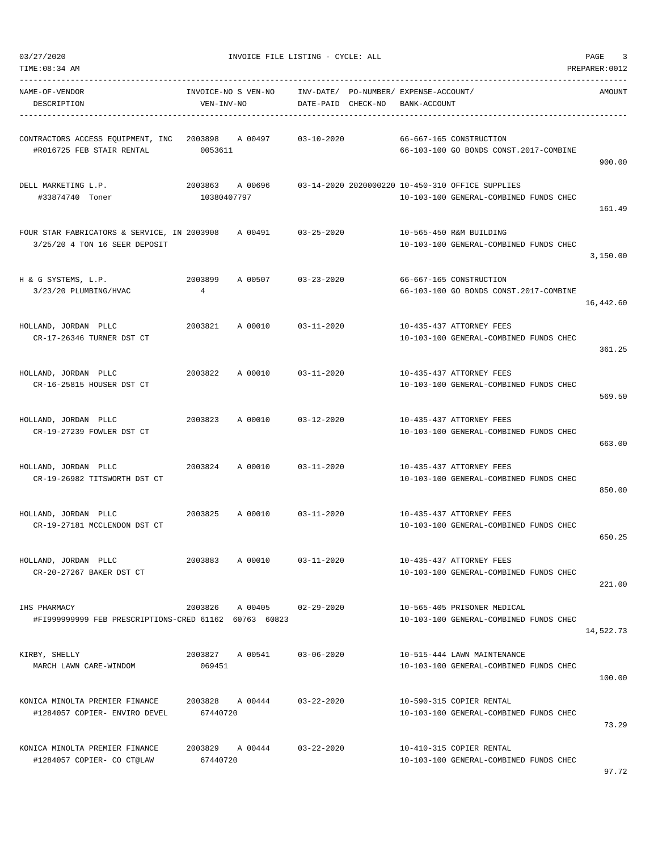|  | 03/27/2020 |
|--|------------|
|  |            |

| NAME-OF-VENDOR<br>DESCRIPTION                                                        | VEN-INV-NO                     | INVOICE-NO S VEN-NO        | DATE-PAID CHECK-NO | INV-DATE/ PO-NUMBER/ EXPENSE-ACCOUNT/<br>BANK-ACCOUNT                                      | AMOUNT    |
|--------------------------------------------------------------------------------------|--------------------------------|----------------------------|--------------------|--------------------------------------------------------------------------------------------|-----------|
| CONTRACTORS ACCESS EQUIPMENT, INC 2003898 A 00497<br>#R016725 FEB STAIR RENTAL       | 0053611                        |                            | 03-10-2020         | 66-667-165 CONSTRUCTION<br>66-103-100 GO BONDS CONST.2017-COMBINE                          | 900.00    |
| DELL MARKETING L.P.<br>#33874740 Toner                                               | 2003863 A 00696<br>10380407797 |                            |                    | 03-14-2020 2020000220 10-450-310 OFFICE SUPPLIES<br>10-103-100 GENERAL-COMBINED FUNDS CHEC | 161.49    |
| FOUR STAR FABRICATORS & SERVICE, IN 2003908 A 00491<br>3/25/20 4 TON 16 SEER DEPOSIT |                                |                            | $03 - 25 - 2020$   | 10-565-450 R&M BUILDING<br>10-103-100 GENERAL-COMBINED FUNDS CHEC                          | 3,150.00  |
| H & G SYSTEMS, L.P.<br>3/23/20 PLUMBING/HVAC                                         | 2003899<br>4                   | A 00507 03-23-2020         |                    | 66-667-165 CONSTRUCTION<br>66-103-100 GO BONDS CONST.2017-COMBINE                          | 16,442.60 |
| HOLLAND, JORDAN PLLC<br>CR-17-26346 TURNER DST CT                                    |                                | 2003821 A 00010 03-11-2020 |                    | 10-435-437 ATTORNEY FEES<br>10-103-100 GENERAL-COMBINED FUNDS CHEC                         | 361.25    |
| HOLLAND, JORDAN PLLC<br>CR-16-25815 HOUSER DST CT                                    | 2003822                        | A 00010 03-11-2020         |                    | 10-435-437 ATTORNEY FEES<br>10-103-100 GENERAL-COMBINED FUNDS CHEC                         | 569.50    |
| HOLLAND, JORDAN PLLC<br>CR-19-27239 FOWLER DST CT                                    | 2003823                        | A 00010                    | 03-12-2020         | 10-435-437 ATTORNEY FEES<br>10-103-100 GENERAL-COMBINED FUNDS CHEC                         | 663.00    |
| HOLLAND, JORDAN PLLC<br>CR-19-26982 TITSWORTH DST CT                                 | 2003824 A 00010                |                            | 03-11-2020         | 10-435-437 ATTORNEY FEES<br>10-103-100 GENERAL-COMBINED FUNDS CHEC                         | 850.00    |
| 2003825 A 00010 03-11-2020<br>HOLLAND, JORDAN PLLC<br>CR-19-27181 MCCLENDON DST CT   |                                |                            |                    | 10-435-437 ATTORNEY FEES<br>10-103-100 GENERAL-COMBINED FUNDS CHEC                         | 650.25    |
| HOLLAND, JORDAN PLLC<br>CR-20-27267 BAKER DST CT                                     | 2003883                        | A 00010                    | $03 - 11 - 2020$   | 10-435-437 ATTORNEY FEES<br>10-103-100 GENERAL-COMBINED FUNDS CHEC                         | 221.00    |
| IHS PHARMACY<br>#FI999999999 FEB PRESCRIPTIONS-CRED 61162 60763 60823                | 2003826                        | A 00405                    | $02 - 29 - 2020$   | 10-565-405 PRISONER MEDICAL<br>10-103-100 GENERAL-COMBINED FUNDS CHEC                      | 14,522.73 |
| KIRBY, SHELLY<br>MARCH LAWN CARE-WINDOM                                              | 2003827 A 00541<br>069451      |                            | $03 - 06 - 2020$   | 10-515-444 LAWN MAINTENANCE<br>10-103-100 GENERAL-COMBINED FUNDS CHEC                      | 100.00    |
| KONICA MINOLTA PREMIER FINANCE<br>#1284057 COPIER- ENVIRO DEVEL                      | 2003828<br>67440720            | A 00444                    | $03 - 22 - 2020$   | 10-590-315 COPIER RENTAL<br>10-103-100 GENERAL-COMBINED FUNDS CHEC                         | 73.29     |
| KONICA MINOLTA PREMIER FINANCE<br>#1284057 COPIER- CO CT@LAW                         | 67440720                       | 2003829 A 00444 03-22-2020 |                    | 10-410-315 COPIER RENTAL<br>10-103-100 GENERAL-COMBINED FUNDS CHEC                         |           |

97.72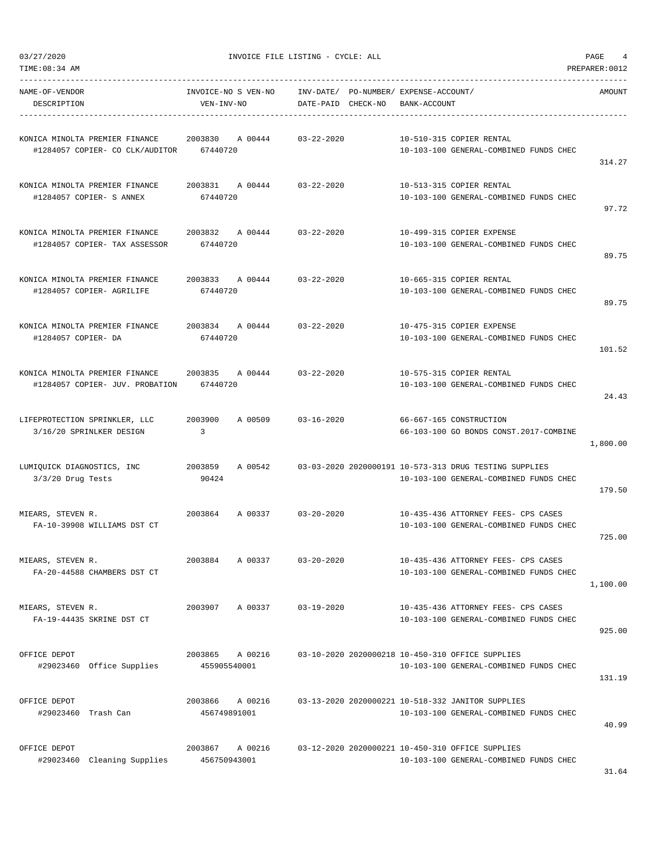$03/27/2020$  PAGE 4

| NAME-OF-VENDOR<br>DESCRIPTION                                                                         | INVOICE-NO S VEN-NO<br>VEN-INV-NO      | INV-DATE/ PO-NUMBER/ EXPENSE-ACCOUNT/<br>DATE-PAID CHECK-NO | BANK-ACCOUNT                                                                                     | AMOUNT   |
|-------------------------------------------------------------------------------------------------------|----------------------------------------|-------------------------------------------------------------|--------------------------------------------------------------------------------------------------|----------|
| KONICA MINOLTA PREMIER FINANCE 2003830 A 00444 03-22-2020<br>#1284057 COPIER- CO CLK/AUDITOR 67440720 |                                        |                                                             | 10-510-315 COPIER RENTAL<br>10-103-100 GENERAL-COMBINED FUNDS CHEC                               | 314.27   |
| KONICA MINOLTA PREMIER FINANCE<br>#1284057 COPIER- S ANNEX                                            | 2003831 A 00444 03-22-2020<br>67440720 |                                                             | 10-513-315 COPIER RENTAL<br>10-103-100 GENERAL-COMBINED FUNDS CHEC                               | 97.72    |
| KONICA MINOLTA PREMIER FINANCE 2003832 A 00444 03-22-2020<br>#1284057 COPIER- TAX ASSESSOR            | 67440720                               |                                                             | 10-499-315 COPIER EXPENSE<br>10-103-100 GENERAL-COMBINED FUNDS CHEC                              | 89.75    |
| KONICA MINOLTA PREMIER FINANCE<br>#1284057 COPIER- AGRILIFE                                           | 2003833 A 00444 03-22-2020<br>67440720 |                                                             | 10-665-315 COPIER RENTAL<br>10-103-100 GENERAL-COMBINED FUNDS CHEC                               | 89.75    |
| KONICA MINOLTA PREMIER FINANCE<br>#1284057 COPIER- DA                                                 | 2003834 A 00444 03-22-2020<br>67440720 |                                                             | 10-475-315 COPIER EXPENSE<br>10-103-100 GENERAL-COMBINED FUNDS CHEC                              | 101.52   |
| KONICA MINOLTA PREMIER FINANCE 2003835<br>#1284057 COPIER- JUV. PROBATION                             | A 00444 03-22-2020<br>67440720         |                                                             | 10-575-315 COPIER RENTAL<br>10-103-100 GENERAL-COMBINED FUNDS CHEC                               | 24.43    |
| LIFEPROTECTION SPRINKLER, LLC<br>3/16/20 SPRINLKER DESIGN                                             | 2003900<br>A 00509<br>$\overline{3}$   | $03 - 16 - 2020$                                            | 66-667-165 CONSTRUCTION<br>66-103-100 GO BONDS CONST.2017-COMBINE                                | 1,800.00 |
| LUMIQUICK DIAGNOSTICS, INC<br>$3/3/20$ Drug Tests                                                     | 2003859 A 00542<br>90424               |                                                             | 03-03-2020 2020000191 10-573-313 DRUG TESTING SUPPLIES<br>10-103-100 GENERAL-COMBINED FUNDS CHEC | 179.50   |
| MIEARS, STEVEN R.<br>2003864<br>FA-10-39908 WILLIAMS DST CT                                           |                                        | A 00337 03-20-2020                                          | 10-435-436 ATTORNEY FEES- CPS CASES<br>10-103-100 GENERAL-COMBINED FUNDS CHEC                    | 725.00   |
| MIEARS, STEVEN R.<br>FA-20-44588 CHAMBERS DST CT                                                      | 2003884<br>A 00337                     | $03 - 20 - 2020$                                            | 10-435-436 ATTORNEY FEES- CPS CASES<br>10-103-100 GENERAL-COMBINED FUNDS CHEC                    | 1,100.00 |
| MIEARS, STEVEN R.<br>FA-19-44435 SKRINE DST CT                                                        | 2003907 A 00337                        | $03 - 19 - 2020$                                            | 10-435-436 ATTORNEY FEES- CPS CASES<br>10-103-100 GENERAL-COMBINED FUNDS CHEC                    | 925.00   |
| OFFICE DEPOT<br>#29023460 Office Supplies                                                             | 2003865 A 00216<br>455905540001        |                                                             | 03-10-2020 2020000218 10-450-310 OFFICE SUPPLIES<br>10-103-100 GENERAL-COMBINED FUNDS CHEC       | 131.19   |
| OFFICE DEPOT<br>#29023460 Trash Can                                                                   | 2003866<br>A 00216<br>456749891001     |                                                             | 03-13-2020 2020000221 10-518-332 JANITOR SUPPLIES<br>10-103-100 GENERAL-COMBINED FUNDS CHEC      | 40.99    |
| OFFICE DEPOT<br>#29023460 Cleaning Supplies                                                           | 2003867 A 00216<br>456750943001        |                                                             | 03-12-2020 2020000221 10-450-310 OFFICE SUPPLIES<br>10-103-100 GENERAL-COMBINED FUNDS CHEC       |          |

31.64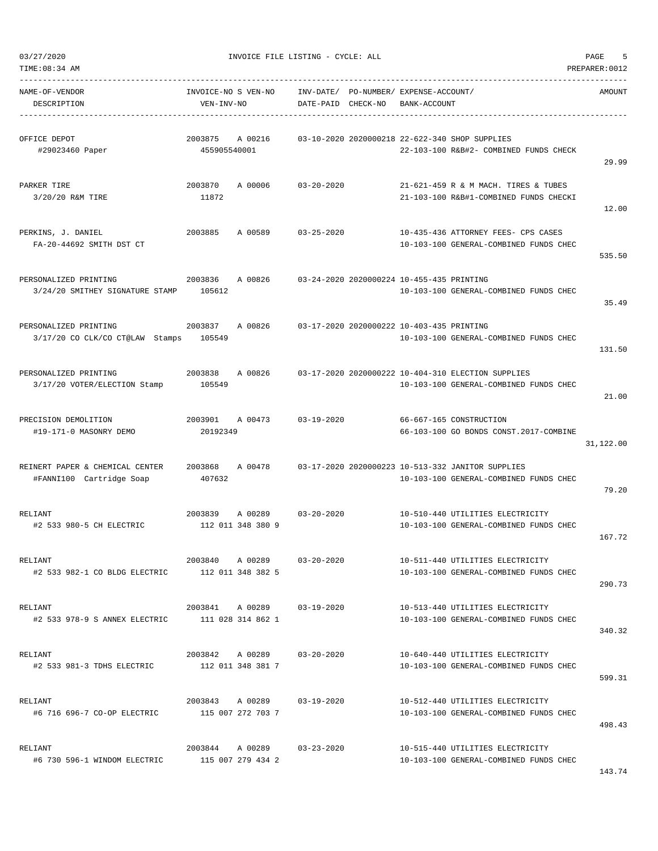| TIME: 08:34 AM                                              |                                                 |                        |                                           |                                             |                                                                                              | PREPARER: 0012 |
|-------------------------------------------------------------|-------------------------------------------------|------------------------|-------------------------------------------|---------------------------------------------|----------------------------------------------------------------------------------------------|----------------|
| NAME-OF-VENDOR<br>DESCRIPTION                               | INVOICE-NO S VEN-NO<br>VEN-INV-NO               | INV-DATE/<br>DATE-PAID | CHECK-NO                                  | PO-NUMBER/ EXPENSE-ACCOUNT/<br>BANK-ACCOUNT |                                                                                              | AMOUNT         |
| OFFICE DEPOT<br>#29023460 Paper                             | 2003875<br>A 00216<br>455905540001              |                        |                                           |                                             | 03-10-2020 2020000218 22-622-340 SHOP SUPPLIES<br>22-103-100 R&B#2- COMBINED FUNDS CHECK     | 29.99          |
| PARKER TIRE<br>3/20/20 R&M TIRE                             | 2003870<br>A 00006<br>11872                     | $03 - 20 - 2020$       |                                           |                                             | 21-621-459 R & M MACH. TIRES & TUBES<br>21-103-100 R&B#1-COMBINED FUNDS CHECKI               | 12.00          |
| PERKINS, J. DANIEL<br>FA-20-44692 SMITH DST CT              | 2003885<br>A 00589                              | $03 - 25 - 2020$       |                                           |                                             | 10-435-436 ATTORNEY FEES- CPS CASES<br>10-103-100 GENERAL-COMBINED FUNDS CHEC                | 535.50         |
| PERSONALIZED PRINTING<br>3/24/20 SMITHEY SIGNATURE STAMP    | 2003836<br>A 00826<br>105612                    |                        | 03-24-2020 2020000224 10-455-435 PRINTING |                                             | 10-103-100 GENERAL-COMBINED FUNDS CHEC                                                       | 35.49          |
| PERSONALIZED PRINTING<br>3/17/20 CO CLK/CO CT@LAW Stamps    | 2003837<br>A 00826<br>105549                    |                        | 03-17-2020 2020000222 10-403-435 PRINTING |                                             | 10-103-100 GENERAL-COMBINED FUNDS CHEC                                                       | 131.50         |
| PERSONALIZED PRINTING<br>3/17/20 VOTER/ELECTION Stamp       | 2003838<br>A 00826<br>105549                    |                        |                                           |                                             | 03-17-2020 2020000222 10-404-310 ELECTION SUPPLIES<br>10-103-100 GENERAL-COMBINED FUNDS CHEC | 21.00          |
| PRECISION DEMOLITION<br>#19-171-0 MASONRY DEMO              | 2003901<br>A 00473<br>20192349                  | $03 - 19 - 2020$       |                                           |                                             | 66-667-165 CONSTRUCTION<br>66-103-100 GO BONDS CONST.2017-COMBINE                            | 31,122.00      |
| REINERT PAPER & CHEMICAL CENTER<br>#FANNI100 Cartridge Soap | 2003868<br>A 00478<br>407632                    |                        |                                           |                                             | 03-17-2020 2020000223 10-513-332 JANITOR SUPPLIES<br>10-103-100 GENERAL-COMBINED FUNDS CHEC  | 79.20          |
| RELIANT<br>#2 533 980-5 CH ELECTRIC                         | 2003839<br>A 00289<br>112 011 348 380 9         | $03 - 20 - 2020$       |                                           |                                             | 10-510-440 UTILITIES ELECTRICITY<br>10-103-100 GENERAL-COMBINED FUNDS CHEC                   | 167.72         |
| RELIANT<br>#2 533 982-1 CO BLDG ELECTRIC                    | 2003840 A 00289<br>112 011 348 382 5            | 03-20-2020             |                                           |                                             | 10-511-440 UTILITIES ELECTRICITY<br>10-103-100 GENERAL-COMBINED FUNDS CHEC                   | 290.73         |
| RELIANT<br>#2 533 978-9 S ANNEX ELECTRIC                    | 2003841 A 00289 03-19-2020<br>111 028 314 862 1 |                        |                                           |                                             | 10-513-440 UTILITIES ELECTRICITY<br>10-103-100 GENERAL-COMBINED FUNDS CHEC                   | 340.32         |
| RELIANT<br>#2 533 981-3 TDHS ELECTRIC                       | 2003842 A 00289 03-20-2020<br>112 011 348 381 7 |                        |                                           |                                             | 10-640-440 UTILITIES ELECTRICITY<br>10-103-100 GENERAL-COMBINED FUNDS CHEC                   | 599.31         |
| RELIANT<br>#6 716 696-7 CO-OP ELECTRIC                      | 2003843 A 00289<br>115 007 272 703 7            | 03-19-2020             |                                           |                                             | 10-512-440 UTILITIES ELECTRICITY<br>10-103-100 GENERAL-COMBINED FUNDS CHEC                   | 498.43         |
| RELIANT<br>#6 730 596-1 WINDOM ELECTRIC                     | 2003844 A 00289 03-23-2020<br>115 007 279 434 2 |                        |                                           |                                             | 10-515-440 UTILITIES ELECTRICITY<br>10-103-100 GENERAL-COMBINED FUNDS CHEC                   |                |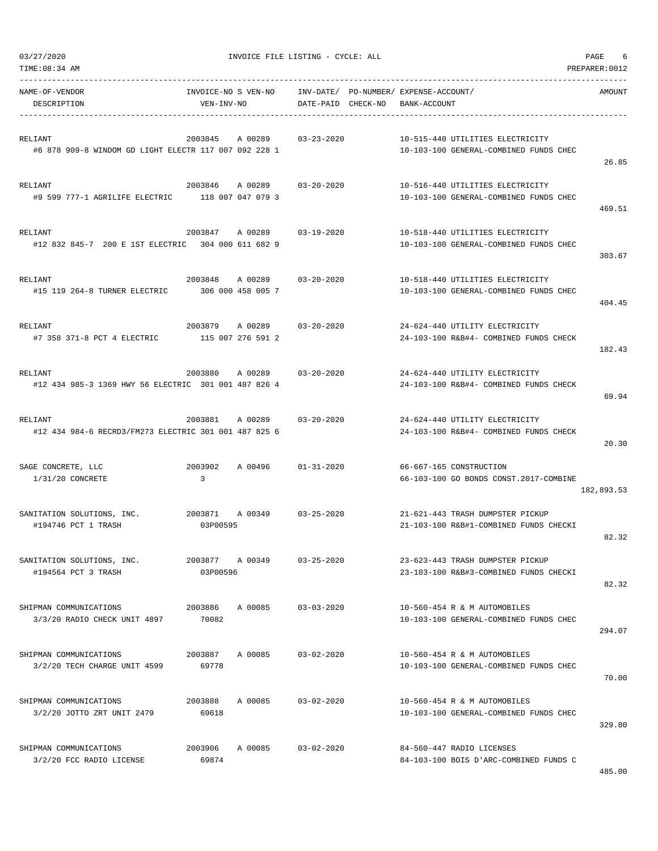| TIME:08:34 AM                                                          |                                         |                        |                                                                            | PREPARER: 0012 |
|------------------------------------------------------------------------|-----------------------------------------|------------------------|----------------------------------------------------------------------------|----------------|
| NAME-OF-VENDOR<br>DESCRIPTION                                          | INVOICE-NO S VEN-NO<br>VEN-INV-NO       | INV-DATE/<br>DATE-PAID | PO-NUMBER/ EXPENSE-ACCOUNT/<br>CHECK-NO<br>BANK-ACCOUNT                    | AMOUNT         |
| RELIANT<br>#6 878 909-8 WINDOM GD LIGHT ELECTR 117 007 092 228 1       | 2003845<br>A 00289                      | $03 - 23 - 2020$       | 10-515-440 UTILITIES ELECTRICITY<br>10-103-100 GENERAL-COMBINED FUNDS CHEC | 26.85          |
| RELIANT<br>#9 599 777-1 AGRILIFE ELECTRIC                              | 2003846<br>A 00289<br>118 007 047 079 3 | $03 - 20 - 2020$       | 10-516-440 UTILITIES ELECTRICITY<br>10-103-100 GENERAL-COMBINED FUNDS CHEC | 469.51         |
| RELIANT<br>#12 832 845-7 200 E 1ST ELECTRIC 304 000 611 682 9          | 2003847<br>A 00289                      | $03 - 19 - 2020$       | 10-518-440 UTILITIES ELECTRICITY<br>10-103-100 GENERAL-COMBINED FUNDS CHEC | 303.67         |
| RELIANT<br>#15 119 264-8 TURNER ELECTRIC                               | 2003848<br>A 00289<br>306 000 458 005 7 | 03-20-2020             | 10-518-440 UTILITIES ELECTRICITY<br>10-103-100 GENERAL-COMBINED FUNDS CHEC | 404.45         |
| RELIANT<br>#7 358 371-8 PCT 4 ELECTRIC                                 | 2003879<br>A 00289<br>115 007 276 591 2 | $03 - 20 - 2020$       | 24-624-440 UTILITY ELECTRICITY<br>24-103-100 R&B#4- COMBINED FUNDS CHECK   | 182.43         |
| <b>RELIANT</b><br>#12 434 985-3 1369 HWY 56 ELECTRIC 301 001 487 826 4 | 2003880<br>A 00289                      | $03 - 20 - 2020$       | 24-624-440 UTILITY ELECTRICITY<br>24-103-100 R&B#4- COMBINED FUNDS CHECK   | 69.94          |
| RELIANT<br>#12 434 984-6 RECRD3/FM273 ELECTRIC 301 001 487 825 6       | 2003881<br>A 00289                      | $03 - 20 - 2020$       | 24-624-440 UTILITY ELECTRICITY<br>24-103-100 R&B#4- COMBINED FUNDS CHECK   | 20.30          |
| SAGE CONCRETE, LLC<br>$1/31/20$ CONCRETE                               | 2003902<br>A 00496<br>3                 | $01 - 31 - 2020$       | 66-667-165 CONSTRUCTION<br>66-103-100 GO BONDS CONST.2017-COMBINE          | 182,893.53     |
| SANITATION SOLUTIONS, INC.<br>#194746 PCT 1 TRASH                      | 2003871<br>A 00349<br>03P00595          | $03 - 25 - 2020$       | 21-621-443 TRASH DUMPSTER PICKUP<br>21-103-100 R&B#1-COMBINED FUNDS CHECKI | 82.32          |
| SANITATION SOLUTIONS, INC.<br>#194564 PCT 3 TRASH                      | 2003877 A 00349<br>03P00596             | $03 - 25 - 2020$       | 23-623-443 TRASH DUMPSTER PICKUP<br>23-103-100 R&B#3-COMBINED FUNDS CHECKI | 82.32          |
| SHIPMAN COMMUNICATIONS<br>3/3/20 RADIO CHECK UNIT 4897                 | 2003886 A 00085<br>70082                | $03 - 03 - 2020$       | 10-560-454 R & M AUTOMOBILES<br>10-103-100 GENERAL-COMBINED FUNDS CHEC     | 294.07         |
| SHIPMAN COMMUNICATIONS<br>3/2/20 TECH CHARGE UNIT 4599                 | 2003887<br>A 00085<br>69778             | $03 - 02 - 2020$       | 10-560-454 R & M AUTOMOBILES<br>10-103-100 GENERAL-COMBINED FUNDS CHEC     | 70.00          |
| SHIPMAN COMMUNICATIONS<br>3/2/20 JOTTO ZRT UNIT 2479                   | 2003888<br>A 00085<br>69618             | $03 - 02 - 2020$       | 10-560-454 R & M AUTOMOBILES<br>10-103-100 GENERAL-COMBINED FUNDS CHEC     | 329.80         |
| SHIPMAN COMMUNICATIONS<br>3/2/20 FCC RADIO LICENSE                     | 2003906<br>A 00085<br>69874             | $03 - 02 - 2020$       | 84-560-447 RADIO LICENSES<br>84-103-100 BOIS D'ARC-COMBINED FUNDS C        | 485.00         |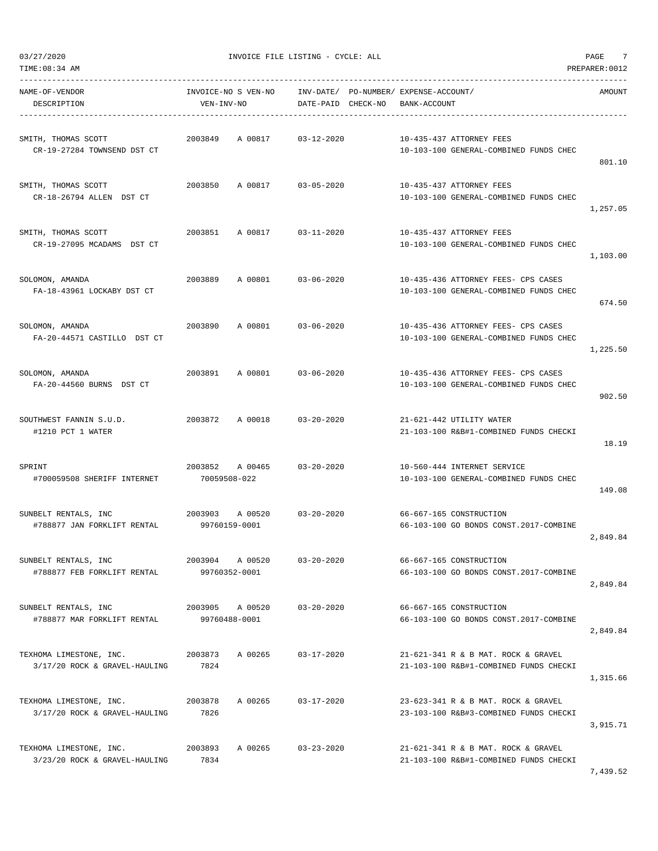$03/27/2020$  PAGE  $7$ 

| TIME:08:34 AM                                            |                                     |                                                             |                                                                               | PREPARER: 0012 |
|----------------------------------------------------------|-------------------------------------|-------------------------------------------------------------|-------------------------------------------------------------------------------|----------------|
| NAME-OF-VENDOR<br>DESCRIPTION                            | INVOICE-NO S VEN-NO<br>VEN-INV-NO   | INV-DATE/ PO-NUMBER/ EXPENSE-ACCOUNT/<br>DATE-PAID CHECK-NO | BANK-ACCOUNT                                                                  | AMOUNT         |
| SMITH, THOMAS SCOTT<br>CR-19-27284 TOWNSEND DST CT       | 2003849<br>A 00817                  | 03-12-2020                                                  | 10-435-437 ATTORNEY FEES<br>10-103-100 GENERAL-COMBINED FUNDS CHEC            | 801.10         |
| SMITH, THOMAS SCOTT<br>CR-18-26794 ALLEN DST CT          | 2003850<br>A 00817                  | 03-05-2020                                                  | 10-435-437 ATTORNEY FEES<br>10-103-100 GENERAL-COMBINED FUNDS CHEC            | 1,257.05       |
| SMITH, THOMAS SCOTT<br>CR-19-27095 MCADAMS DST CT        | 2003851<br>A 00817                  | 03-11-2020                                                  | 10-435-437 ATTORNEY FEES<br>10-103-100 GENERAL-COMBINED FUNDS CHEC            | 1,103.00       |
| SOLOMON, AMANDA<br>FA-18-43961 LOCKABY DST CT            | 2003889<br>A 00801 03-06-2020       |                                                             | 10-435-436 ATTORNEY FEES- CPS CASES<br>10-103-100 GENERAL-COMBINED FUNDS CHEC | 674.50         |
| SOLOMON, AMANDA<br>FA-20-44571 CASTILLO DST CT           | 2003890<br>A 00801                  | 03-06-2020                                                  | 10-435-436 ATTORNEY FEES- CPS CASES<br>10-103-100 GENERAL-COMBINED FUNDS CHEC | 1,225.50       |
| SOLOMON, AMANDA<br>FA-20-44560 BURNS DST CT              | 2003891<br>A 00801                  | 03-06-2020                                                  | 10-435-436 ATTORNEY FEES- CPS CASES<br>10-103-100 GENERAL-COMBINED FUNDS CHEC | 902.50         |
| SOUTHWEST FANNIN S.U.D.<br>#1210 PCT 1 WATER             | 2003872<br>A 00018                  | 03-20-2020                                                  | 21-621-442 UTILITY WATER<br>21-103-100 R&B#1-COMBINED FUNDS CHECKI            | 18.19          |
| SPRINT<br>#700059508 SHERIFF INTERNET                    | 2003852<br>A 00465<br>70059508-022  | $03 - 20 - 2020$                                            | 10-560-444 INTERNET SERVICE<br>10-103-100 GENERAL-COMBINED FUNDS CHEC         | 149.08         |
| SUNBELT RENTALS, INC<br>#788877 JAN FORKLIFT RENTAL      | 2003903<br>A 00520<br>99760159-0001 | $03 - 20 - 2020$                                            | 66-667-165 CONSTRUCTION<br>66-103-100 GO BONDS CONST.2017-COMBINE             | 2,849.84       |
| SUNBELT RENTALS, INC<br>#788877 FEB FORKLIFT RENTAL      | 2003904 A 00520<br>99760352-0001    | $03 - 20 - 2020$                                            | 66-667-165 CONSTRUCTION<br>66-103-100 GO BONDS CONST.2017-COMBINE             | 2,849.84       |
| SUNBELT RENTALS, INC<br>#788877 MAR FORKLIFT RENTAL      | 2003905 A 00520<br>99760488-0001    | 03-20-2020                                                  | 66-667-165 CONSTRUCTION<br>66-103-100 GO BONDS CONST.2017-COMBINE             | 2,849.84       |
| TEXHOMA LIMESTONE, INC.<br>3/17/20 ROCK & GRAVEL-HAULING | 2003873<br>A 00265<br>7824          | $03 - 17 - 2020$                                            | 21-621-341 R & B MAT. ROCK & GRAVEL<br>21-103-100 R&B#1-COMBINED FUNDS CHECKI | 1,315.66       |
| TEXHOMA LIMESTONE, INC.<br>3/17/20 ROCK & GRAVEL-HAULING | 2003878<br>A 00265<br>7826          | $03 - 17 - 2020$                                            | 23-623-341 R & B MAT. ROCK & GRAVEL<br>23-103-100 R&B#3-COMBINED FUNDS CHECKI | 3,915.71       |
| TEXHOMA LIMESTONE, INC.<br>3/23/20 ROCK & GRAVEL-HAULING | 2003893<br>A 00265<br>7834          | $03 - 23 - 2020$                                            | 21-621-341 R & B MAT. ROCK & GRAVEL<br>21-103-100 R&B#1-COMBINED FUNDS CHECKI |                |

7,439.52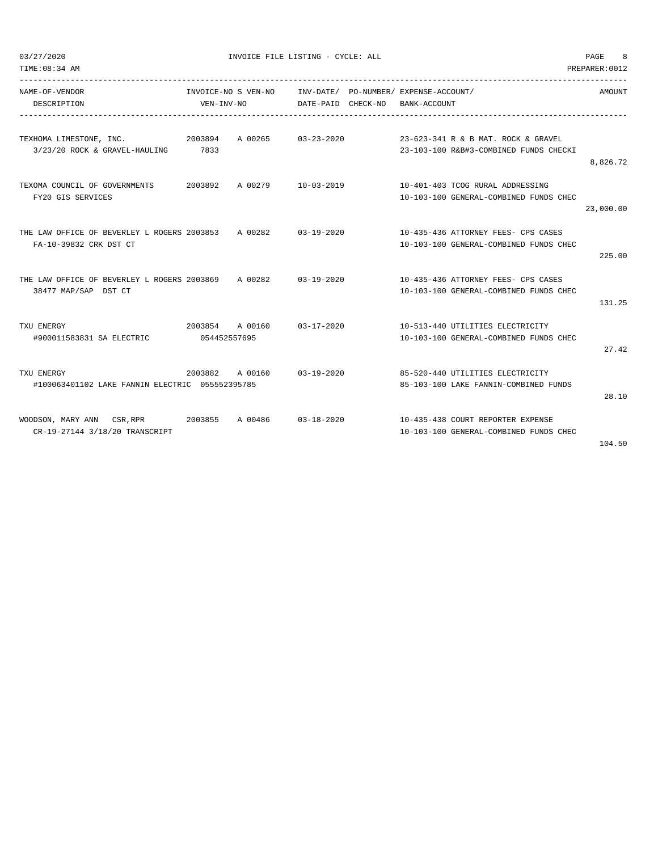| TIME: 08:34 AM<br>PREPARER: 0012                    |                 |                     |                            |          |                                        |           |
|-----------------------------------------------------|-----------------|---------------------|----------------------------|----------|----------------------------------------|-----------|
| NAME-OF-VENDOR                                      |                 | INVOICE-NO S VEN-NO |                            |          | INV-DATE/ PO-NUMBER/ EXPENSE-ACCOUNT/  | AMOUNT    |
| DESCRIPTION                                         | VEN-INV-NO      |                     | DATE-PAID                  | CHECK-NO | BANK-ACCOUNT                           |           |
| 2003894<br>TEXHOMA LIMESTONE, INC.                  |                 |                     | A 00265 03-23-2020         |          | 23-623-341 R & B MAT. ROCK & GRAVEL    |           |
| 3/23/20 ROCK & GRAVEL-HAULING                       | 7833            |                     |                            |          | 23-103-100 R&B#3-COMBINED FUNDS CHECKI |           |
|                                                     |                 |                     |                            |          |                                        | 8,826.72  |
| TEXOMA COUNCIL OF GOVERNMENTS                       |                 |                     | 2003892 A 00279 10-03-2019 |          | 10-401-403 TCOG RURAL ADDRESSING       |           |
| FY20 GIS SERVICES                                   |                 |                     |                            |          | 10-103-100 GENERAL-COMBINED FUNDS CHEC |           |
|                                                     |                 |                     |                            |          |                                        | 23,000.00 |
| THE LAW OFFICE OF BEVERLEY L ROGERS 2003853 A 00282 |                 |                     | 03-19-2020                 |          | 10-435-436 ATTORNEY FEES- CPS CASES    |           |
| FA-10-39832 CRK DST CT                              |                 |                     |                            |          | 10-103-100 GENERAL-COMBINED FUNDS CHEC |           |
|                                                     |                 |                     |                            |          |                                        | 225.00    |
| THE LAW OFFICE OF BEVERLEY L ROGERS 2003869 A 00282 |                 |                     | $0.3 - 1.9 - 2.0.20$       |          | 10-435-436 ATTORNEY FEES- CPS CASES    |           |
| 38477 MAP/SAP DST CT                                |                 |                     |                            |          | 10-103-100 GENERAL-COMBINED FUNDS CHEC |           |
|                                                     |                 |                     |                            |          |                                        | 131.25    |
| TXU ENERGY                                          | 2003854 A 00160 |                     | $03 - 17 - 2020$           |          | 10-513-440 UTILITIES ELECTRICITY       |           |
| #900011583831 SA ELECTRIC                           | 054452557695    |                     |                            |          | 10-103-100 GENERAL-COMBINED FUNDS CHEC |           |
|                                                     |                 |                     |                            |          |                                        | 27.42     |
| TXU ENERGY                                          | 2003882         | A 00160             | 03-19-2020                 |          | 85-520-440 UTILITIES ELECTRICITY       |           |
| #100063401102 LAKE FANNIN ELECTRIC 055552395785     |                 |                     |                            |          | 85-103-100 LAKE FANNIN-COMBINED FUNDS  |           |
|                                                     |                 |                     |                            |          |                                        | 28.10     |
| WOODSON, MARY ANN CSR, RPR 2003855                  |                 | A 00486             | $03 - 18 - 2020$           |          | 10-435-438 COURT REPORTER EXPENSE      |           |
| CR-19-27144 3/18/20 TRANSCRIPT                      |                 |                     |                            |          | 10-103-100 GENERAL-COMBINED FUNDS CHEC |           |

104.50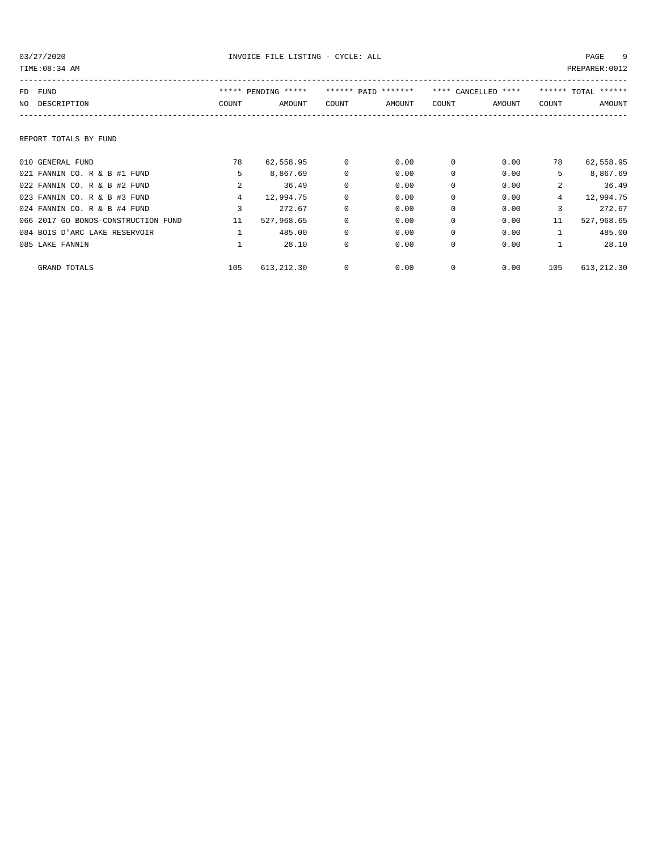| TIME: 08:34 AM                      |                |                     |             |                     |             |                     |                 | PREPARER: 0012      |
|-------------------------------------|----------------|---------------------|-------------|---------------------|-------------|---------------------|-----------------|---------------------|
| FUND<br>FD                          |                | ***** PENDING ***** |             | ****** PATD ******* |             | **** CANCELLED **** |                 | ****** TOTAL ****** |
| DESCRIPTION<br>NO.                  | COUNT          | AMOUNT              | COUNT       | AMOUNT              | COUNT       | AMOUNT              | COUNT           | AMOUNT              |
|                                     |                |                     |             |                     |             |                     |                 |                     |
| REPORT TOTALS BY FUND               |                |                     |             |                     |             |                     |                 |                     |
| 010 GENERAL FUND                    | 78             | 62,558.95           | $^{\circ}$  | 0.00                | $^{\circ}$  | 0.00                | 78              | 62,558.95           |
| 021 FANNIN CO. R & B #1 FUND        | 5              | 8,867.69            | $\mathbf 0$ | 0.00                | 0           | 0.00                | 5               | 8,867.69            |
| 022 FANNIN CO. R & B #2 FUND        | 2              | 36.49               | $\mathbf 0$ | 0.00                | $\mathbf 0$ | 0.00                | $\overline{a}$  | 36.49               |
| 023 FANNIN CO. R & B #3 FUND        | $\overline{4}$ | 12,994.75           | $\mathbf 0$ | 0.00                | $\mathbf 0$ | 0.00                | $4\overline{ }$ | 12,994.75           |
| 024 FANNIN CO. R & B #4 FUND        | 3              | 272.67              | $\mathbf 0$ | 0.00                | $\mathbf 0$ | 0.00                | 3               | 272.67              |
| 066 2017 GO BONDS-CONSTRUCTION FUND | 11             | 527,968.65          | $\mathbf 0$ | 0.00                | $\Omega$    | 0.00                | 11              | 527,968.65          |
| 084 BOIS D'ARC LAKE RESERVOIR       |                | 485.00              | $\mathbf 0$ | 0.00                | $\Omega$    | 0.00                | $\mathbf{1}$    | 485.00              |
| 085 LAKE FANNIN                     |                | 28.10               | $\mathbf 0$ | 0.00                | $\Omega$    | 0.00                | $\mathbf{1}$    | 28.10               |
| GRAND TOTALS                        | 105            | 613,212.30          | 0           | 0.00                | 0           | 0.00                | 105             | 613,212.30          |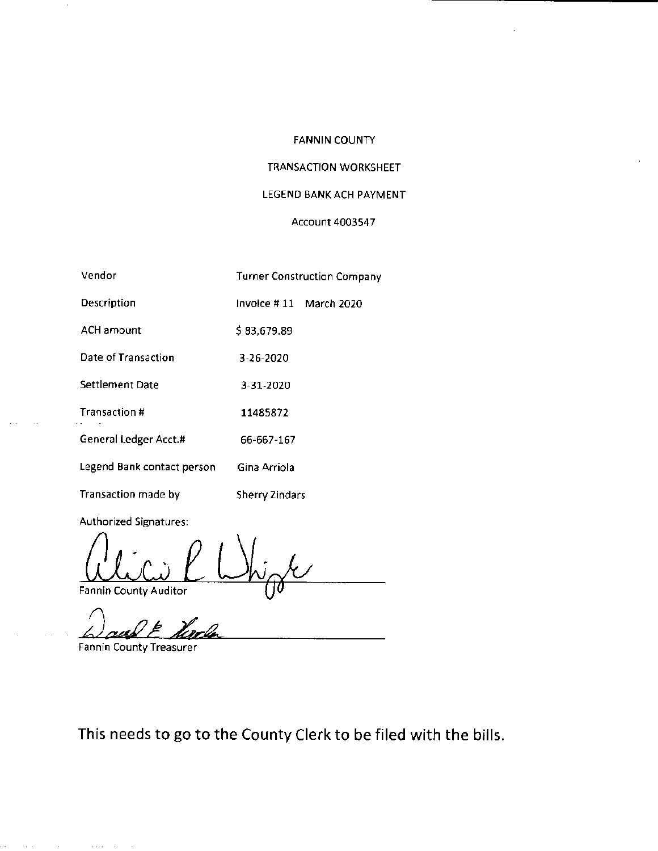### FANNIN COUNTY

## TRANSACTION WORKSHEET

# LEGEND BANK ACH PAYMENT

### Account 4003547

| Vendor                     | <b>Turner Construction Company</b> |  |
|----------------------------|------------------------------------|--|
| Description                | Invoice #11 March 2020             |  |
| <b>ACH amount</b>          | \$83,679.89                        |  |
| Date of Transaction        | 3-26-2020                          |  |
| Settlement Date            | 3-31-2020                          |  |
| Transaction #              | 11485872                           |  |
| General Ledger Acct.#      | 66-667-167                         |  |
| Legend Bank contact person | Gina Arriola                       |  |
| Transaction made by        | <b>Sherry Zindars</b>              |  |

Authorized Signatures:

Fannin County Auditor

Fannin County Treasurer

This needs to go to the County Clerk to be filed with the bills.